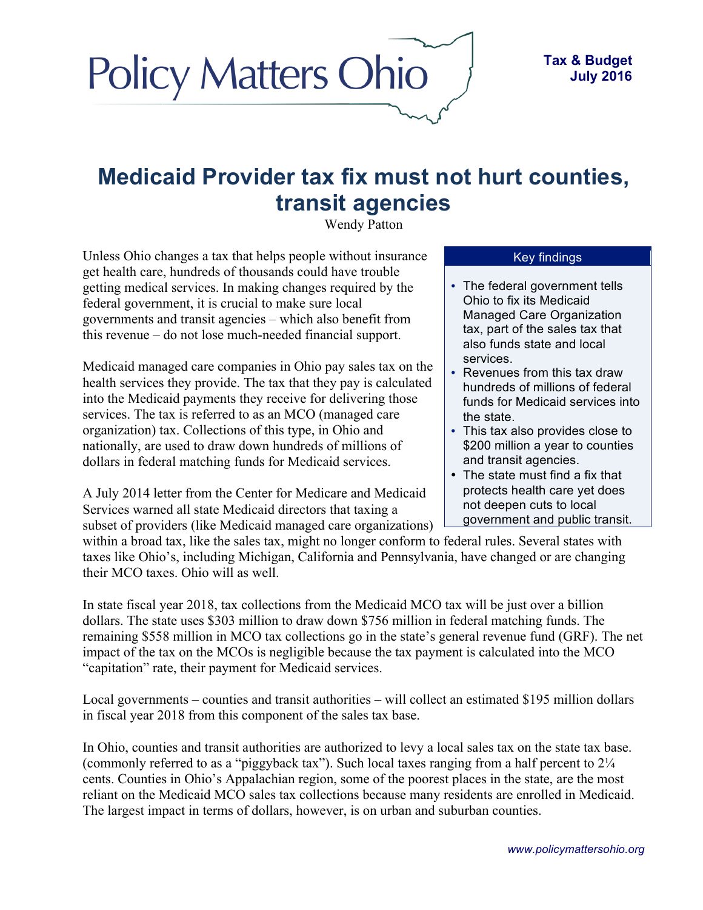## **Medicaid Provider tax fix must not hurt counties, transit agencies**

Wendy Patton

Unless Ohio changes a tax that helps people without insurance get health care, hundreds of thousands could have trouble getting medical services. In making changes required by the federal government, it is crucial to make sure local governments and transit agencies – which also benefit from this revenue – do not lose much-needed financial support.

**Policy Matters Ohio** 

Medicaid managed care companies in Ohio pay sales tax on the health services they provide. The tax that they pay is calculated into the Medicaid payments they receive for delivering those services. The tax is referred to as an MCO (managed care organization) tax. Collections of this type, in Ohio and nationally, are used to draw down hundreds of millions of dollars in federal matching funds for Medicaid services.

A July 2014 letter from the Center for Medicare and Medicaid Services warned all state Medicaid directors that taxing a subset of providers (like Medicaid managed care organizations)

## Key findings

- The federal government tells Ohio to fix its Medicaid Managed Care Organization tax, part of the sales tax that also funds state and local services.
- Revenues from this tax draw hundreds of millions of federal funds for Medicaid services into the state.
- This tax also provides close to \$200 million a year to counties and transit agencies.
- The state must find a fix that protects health care yet does not deepen cuts to local government and public transit.

within a broad tax, like the sales tax, might no longer conform to federal rules. Several states with taxes like Ohio's, including Michigan, California and Pennsylvania, have changed or are changing their MCO taxes. Ohio will as well.

In state fiscal year 2018, tax collections from the Medicaid MCO tax will be just over a billion dollars. The state uses \$303 million to draw down \$756 million in federal matching funds. The remaining \$558 million in MCO tax collections go in the state's general revenue fund (GRF). The net impact of the tax on the MCOs is negligible because the tax payment is calculated into the MCO "capitation" rate, their payment for Medicaid services.

Local governments – counties and transit authorities – will collect an estimated \$195 million dollars in fiscal year 2018 from this component of the sales tax base.

In Ohio, counties and transit authorities are authorized to levy a local sales tax on the state tax base. (commonly referred to as a "piggyback tax"). Such local taxes ranging from a half percent to 2¼ cents. Counties in Ohio's Appalachian region, some of the poorest places in the state, are the most reliant on the Medicaid MCO sales tax collections because many residents are enrolled in Medicaid. The largest impact in terms of dollars, however, is on urban and suburban counties.